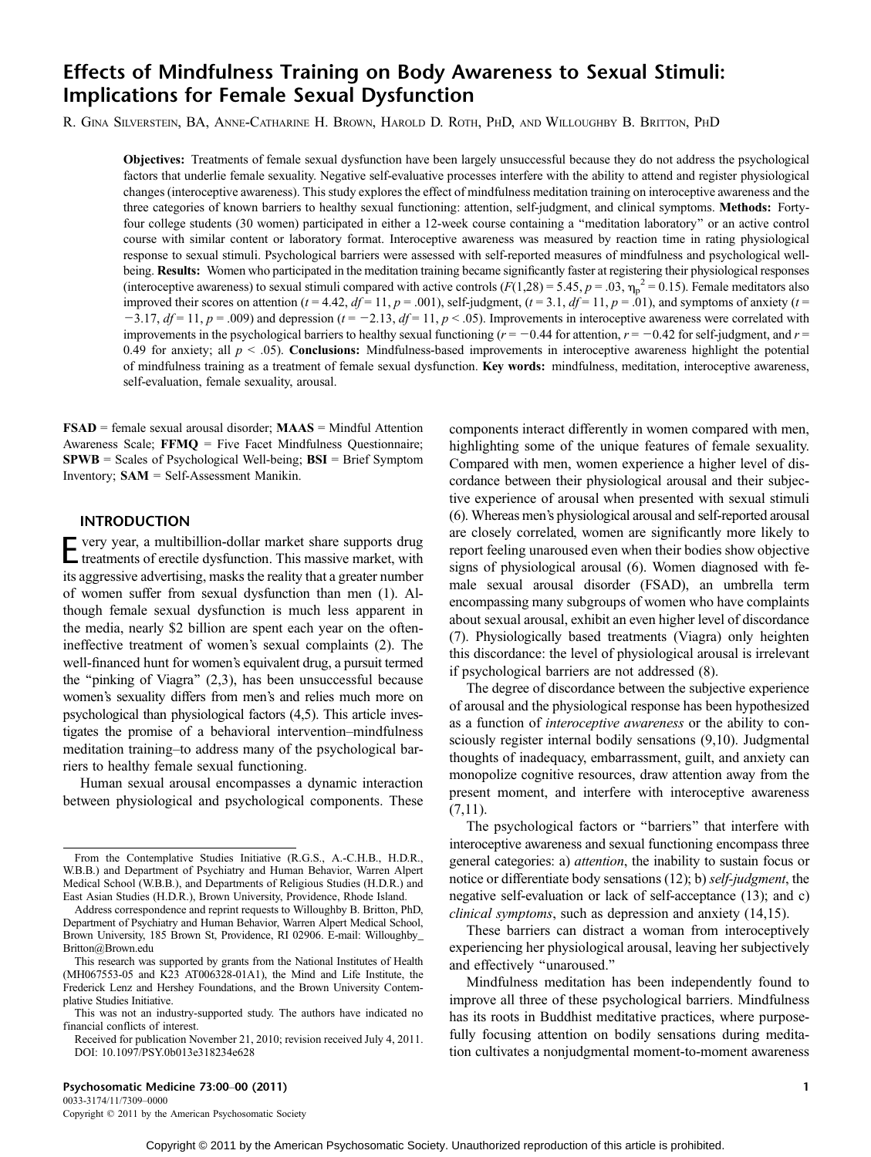# Effects of Mindfulness Training on Body Awareness to Sexual Stimuli: Implications for Female Sexual Dysfunction

R. GINA SILVERSTEIN, BA, ANNE-CATHARINE H. BROWN, HAROLD D. ROTH, PHD, AND WILLOUGHBY B. BRITTON, PHD

Objectives: Treatments of female sexual dysfunction have been largely unsuccessful because they do not address the psychological factors that underlie female sexuality. Negative self-evaluative processes interfere with the ability to attend and register physiological changes (interoceptive awareness). This study explores the effect of mindfulness meditation training on interoceptive awareness and the three categories of known barriers to healthy sexual functioning: attention, self-judgment, and clinical symptoms. Methods: Fortyfour college students (30 women) participated in either a 12-week course containing a ''meditation laboratory'' or an active control course with similar content or laboratory format. Interoceptive awareness was measured by reaction time in rating physiological response to sexual stimuli. Psychological barriers were assessed with self-reported measures of mindfulness and psychological wellbeing. Results: Women who participated in the meditation training became significantly faster at registering their physiological responses (interoceptive awareness) to sexual stimuli compared with active controls ( $F(1,28) = 5.45$ ,  $p = .03$ ,  $\eta_p^2 = 0.15$ ). Female meditators also improved their scores on attention ( $t = 4.42$ ,  $df = 11$ ,  $p = .001$ ), self-judgment, ( $t = 3.1$ ,  $df = 11$ ,  $p = .01$ ), and symptoms of anxiety ( $t =$  $j=3.17$ ,  $df = 11$ ,  $p = .009$ ) and depression ( $t = -2.13$ ,  $df = 11$ ,  $p < .05$ ). Improvements in interoceptive awareness were correlated with improvements in the psychological barriers to healthy sexual functioning ( $r = -0.44$  for attention,  $r = -0.42$  for self-judgment, and  $r =$ 0.49 for anxiety; all  $p < .05$ ). Conclusions: Mindfulness-based improvements in interoceptive awareness highlight the potential of mindfulness training as a treatment of female sexual dysfunction. Key words: mindfulness, meditation, interoceptive awareness, self-evaluation, female sexuality, arousal.

FSAD = female sexual arousal disorder; MAAS = Mindful Attention Awareness Scale; FFMQ = Five Facet Mindfulness Questionnaire; SPWB = Scales of Psychological Well-being; BSI = Brief Symptom Inventory; SAM = Self-Assessment Manikin.

## INTRODUCTION

E very year, a multibillion-dollar market share supports drug treatments of erectile dysfunction. This massive market, with its aggressive advertising, masks the reality that a greater number of women suffer from sexual dysfunction than men (1). Although female sexual dysfunction is much less apparent in the media, nearly \$2 billion are spent each year on the oftenineffective treatment of women's sexual complaints (2). The well-financed hunt for women's equivalent drug, a pursuit termed the ''pinking of Viagra'' (2,3), has been unsuccessful because women's sexuality differs from men's and relies much more on psychological than physiological factors (4,5). This article investigates the promise of a behavioral intervention-mindfulness meditation training-to address many of the psychological barriers to healthy female sexual functioning.

Human sexual arousal encompasses a dynamic interaction between physiological and psychological components. These components interact differently in women compared with men, highlighting some of the unique features of female sexuality. Compared with men, women experience a higher level of discordance between their physiological arousal and their subjective experience of arousal when presented with sexual stimuli (6). Whereas men's physiological arousal and self-reported arousal are closely correlated, women are significantly more likely to report feeling unaroused even when their bodies show objective signs of physiological arousal (6). Women diagnosed with female sexual arousal disorder (FSAD), an umbrella term encompassing many subgroups of women who have complaints about sexual arousal, exhibit an even higher level of discordance (7). Physiologically based treatments (Viagra) only heighten this discordance: the level of physiological arousal is irrelevant if psychological barriers are not addressed (8).

The degree of discordance between the subjective experience of arousal and the physiological response has been hypothesized as a function of interoceptive awareness or the ability to consciously register internal bodily sensations (9,10). Judgmental thoughts of inadequacy, embarrassment, guilt, and anxiety can monopolize cognitive resources, draw attention away from the present moment, and interfere with interoceptive awareness  $(7,11)$ .

The psychological factors or ''barriers'' that interfere with interoceptive awareness and sexual functioning encompass three general categories: a) attention, the inability to sustain focus or notice or differentiate body sensations (12); b) self-judgment, the negative self-evaluation or lack of self-acceptance (13); and c) clinical symptoms, such as depression and anxiety (14,15).

These barriers can distract a woman from interoceptively experiencing her physiological arousal, leaving her subjectively and effectively ''unaroused.''

Mindfulness meditation has been independently found to improve all three of these psychological barriers. Mindfulness has its roots in Buddhist meditative practices, where purposefully focusing attention on bodily sensations during meditation cultivates a nonjudgmental moment-to-moment awareness

## Psychosomatic Medicine 73:00Y00 (2011) 1

0033-3174/11/7309–0000 Copyright  $©$  2011 by the American Psychosomatic Society

From the Contemplative Studies Initiative (R.G.S., A.-C.H.B., H.D.R., W.B.B.) and Department of Psychiatry and Human Behavior, Warren Alpert Medical School (W.B.B.), and Departments of Religious Studies (H.D.R.) and East Asian Studies (H.D.R.), Brown University, Providence, Rhode Island.

Address correspondence and reprint requests to Willoughby B. Britton, PhD, Department of Psychiatry and Human Behavior, Warren Alpert Medical School, Brown University, 185 Brown St, Providence, RI 02906. E-mail: Willoughby\_ Britton@Brown.edu

This research was supported by grants from the National Institutes of Health (MH067553-05 and K23 AT006328-01A1), the Mind and Life Institute, the Frederick Lenz and Hershey Foundations, and the Brown University Contemplative Studies Initiative.

This was not an industry-supported study. The authors have indicated no financial conflicts of interest.

Received for publication November 21, 2010; revision received July 4, 2011. DOI: 10.1097/PSY.0b013e318234e628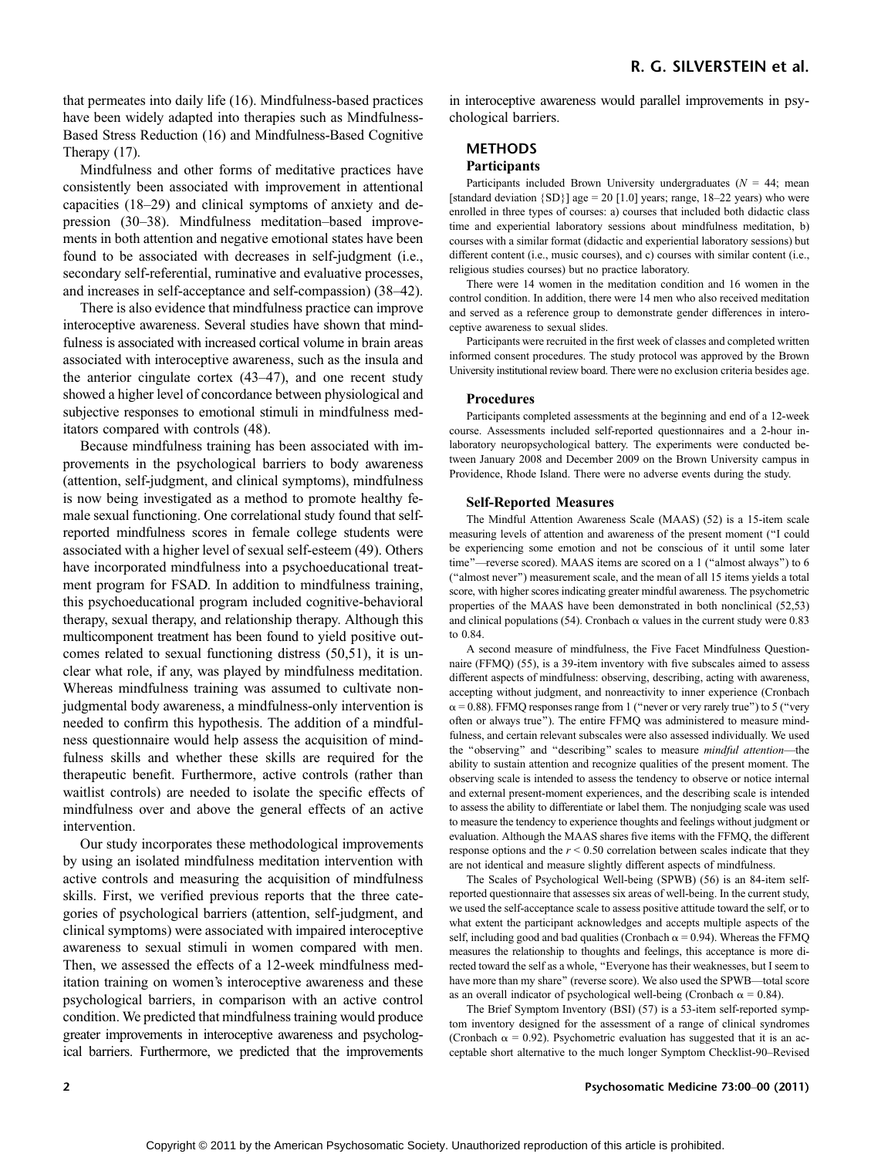that permeates into daily life (16). Mindfulness-based practices have been widely adapted into therapies such as Mindfulness-Based Stress Reduction (16) and Mindfulness-Based Cognitive Therapy (17).

Mindfulness and other forms of meditative practices have consistently been associated with improvement in attentional capacities (18-29) and clinical symptoms of anxiety and depression (30-38). Mindfulness meditation-based improvements in both attention and negative emotional states have been found to be associated with decreases in self-judgment (i.e., secondary self-referential, ruminative and evaluative processes, and increases in self-acceptance and self-compassion) (38–42).

There is also evidence that mindfulness practice can improve interoceptive awareness. Several studies have shown that mindfulness is associated with increased cortical volume in brain areas associated with interoceptive awareness, such as the insula and the anterior cingulate cortex  $(43-47)$ , and one recent study showed a higher level of concordance between physiological and subjective responses to emotional stimuli in mindfulness meditators compared with controls (48).

Because mindfulness training has been associated with improvements in the psychological barriers to body awareness (attention, self-judgment, and clinical symptoms), mindfulness is now being investigated as a method to promote healthy female sexual functioning. One correlational study found that selfreported mindfulness scores in female college students were associated with a higher level of sexual self-esteem (49). Others have incorporated mindfulness into a psychoeducational treatment program for FSAD. In addition to mindfulness training, this psychoeducational program included cognitive-behavioral therapy, sexual therapy, and relationship therapy. Although this multicomponent treatment has been found to yield positive outcomes related to sexual functioning distress (50,51), it is unclear what role, if any, was played by mindfulness meditation. Whereas mindfulness training was assumed to cultivate nonjudgmental body awareness, a mindfulness-only intervention is needed to confirm this hypothesis. The addition of a mindfulness questionnaire would help assess the acquisition of mindfulness skills and whether these skills are required for the therapeutic benefit. Furthermore, active controls (rather than waitlist controls) are needed to isolate the specific effects of mindfulness over and above the general effects of an active intervention.

Our study incorporates these methodological improvements by using an isolated mindfulness meditation intervention with active controls and measuring the acquisition of mindfulness skills. First, we verified previous reports that the three categories of psychological barriers (attention, self-judgment, and clinical symptoms) were associated with impaired interoceptive awareness to sexual stimuli in women compared with men. Then, we assessed the effects of a 12-week mindfulness meditation training on women's interoceptive awareness and these psychological barriers, in comparison with an active control condition. We predicted that mindfulness training would produce greater improvements in interoceptive awareness and psychological barriers. Furthermore, we predicted that the improvements

in interoceptive awareness would parallel improvements in psychological barriers.

#### METHODS

### Participants

Participants included Brown University undergraduates ( $N = 44$ ; mean [standard deviation  ${SD}$ ] age = 20 [1.0] years; range, 18-22 years) who were enrolled in three types of courses: a) courses that included both didactic class time and experiential laboratory sessions about mindfulness meditation, b) courses with a similar format (didactic and experiential laboratory sessions) but different content (i.e., music courses), and c) courses with similar content (i.e., religious studies courses) but no practice laboratory.

There were 14 women in the meditation condition and 16 women in the control condition. In addition, there were 14 men who also received meditation and served as a reference group to demonstrate gender differences in interoceptive awareness to sexual slides.

Participants were recruited in the first week of classes and completed written informed consent procedures. The study protocol was approved by the Brown University institutional review board. There were no exclusion criteria besides age.

#### Procedures

Participants completed assessments at the beginning and end of a 12-week course. Assessments included self-reported questionnaires and a 2-hour inlaboratory neuropsychological battery. The experiments were conducted between January 2008 and December 2009 on the Brown University campus in Providence, Rhode Island. There were no adverse events during the study.

#### Self-Reported Measures

The Mindful Attention Awareness Scale (MAAS) (52) is a 15-item scale measuring levels of attention and awareness of the present moment (''I could be experiencing some emotion and not be conscious of it until some later time"-reverse scored). MAAS items are scored on a 1 ("almost always") to 6 (''almost never'') measurement scale, and the mean of all 15 items yields a total score, with higher scores indicating greater mindful awareness. The psychometric properties of the MAAS have been demonstrated in both nonclinical (52,53) and clinical populations (54). Cronbach  $\alpha$  values in the current study were 0.83 to 0.84.

A second measure of mindfulness, the Five Facet Mindfulness Questionnaire (FFMQ) (55), is a 39-item inventory with five subscales aimed to assess different aspects of mindfulness: observing, describing, acting with awareness, accepting without judgment, and nonreactivity to inner experience (Cronbach  $\alpha$  = 0.88). FFMQ responses range from 1 ("never or very rarely true") to 5 ("very often or always true''). The entire FFMQ was administered to measure mindfulness, and certain relevant subscales were also assessed individually. We used the "observing" and "describing" scales to measure mindful attention-the ability to sustain attention and recognize qualities of the present moment. The observing scale is intended to assess the tendency to observe or notice internal and external present-moment experiences, and the describing scale is intended to assess the ability to differentiate or label them. The nonjudging scale was used to measure the tendency to experience thoughts and feelings without judgment or evaluation. Although the MAAS shares five items with the FFMQ, the different response options and the  $r < 0.50$  correlation between scales indicate that they are not identical and measure slightly different aspects of mindfulness.

The Scales of Psychological Well-being (SPWB) (56) is an 84-item selfreported questionnaire that assesses six areas of well-being. In the current study, we used the self-acceptance scale to assess positive attitude toward the self, or to what extent the participant acknowledges and accepts multiple aspects of the self, including good and bad qualities (Cronbach  $\alpha = 0.94$ ). Whereas the FFMQ measures the relationship to thoughts and feelings, this acceptance is more directed toward the self as a whole, ''Everyone has their weaknesses, but I seem to have more than my share" (reverse score). We also used the SPWB-total score as an overall indicator of psychological well-being (Cronbach  $\alpha = 0.84$ ).

The Brief Symptom Inventory (BSI) (57) is a 53-item self-reported symptom inventory designed for the assessment of a range of clinical syndromes (Cronbach  $\alpha = 0.92$ ). Psychometric evaluation has suggested that it is an acceptable short alternative to the much longer Symptom Checklist-90-Revised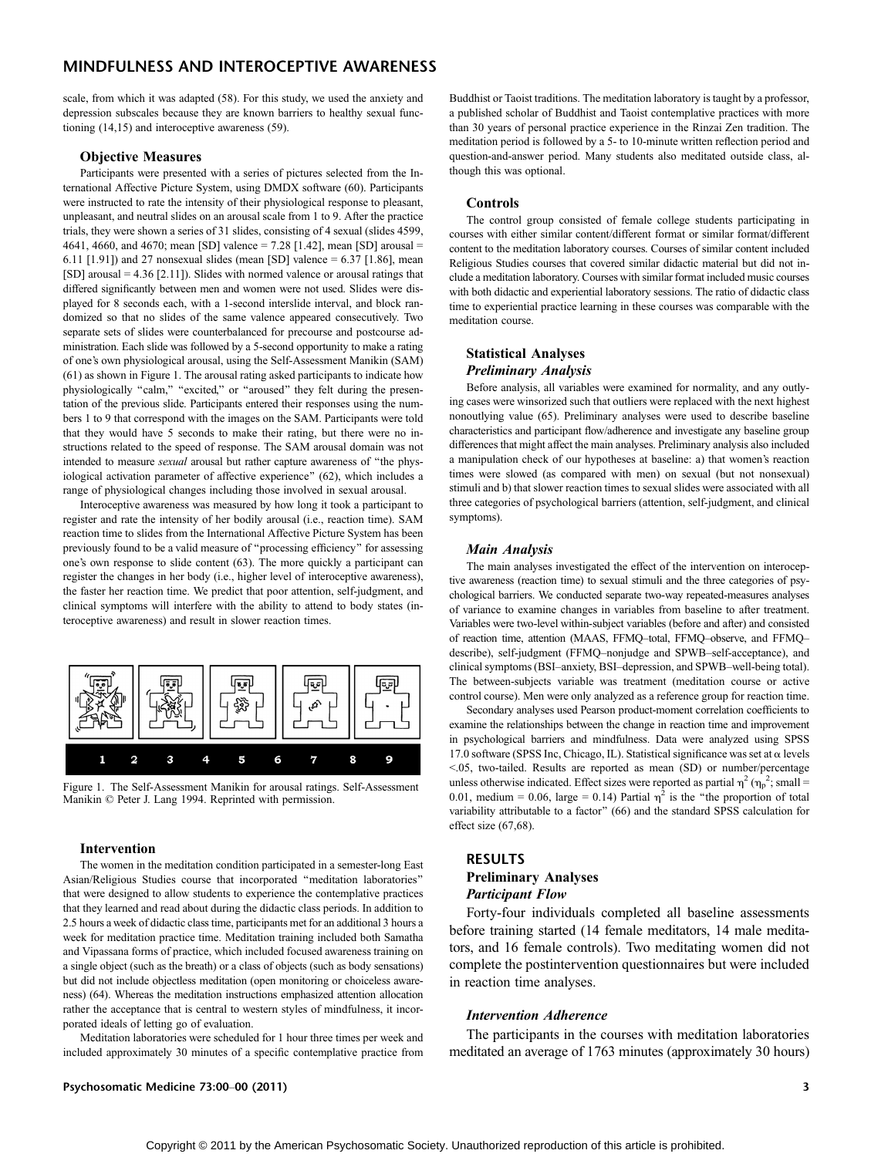scale, from which it was adapted (58). For this study, we used the anxiety and depression subscales because they are known barriers to healthy sexual functioning (14,15) and interoceptive awareness (59).

#### Objective Measures

Participants were presented with a series of pictures selected from the International Affective Picture System, using DMDX software (60). Participants were instructed to rate the intensity of their physiological response to pleasant, unpleasant, and neutral slides on an arousal scale from 1 to 9. After the practice trials, they were shown a series of 31 slides, consisting of 4 sexual (slides 4599, 4641, 4660, and 4670; mean [SD] valence = 7.28 [1.42], mean [SD] arousal = 6.11 [1.91]) and 27 nonsexual slides (mean [SD] valence = 6.37 [1.86], mean  $[SD]$  arousal = 4.36  $[2.11]$ ). Slides with normed valence or arousal ratings that differed significantly between men and women were not used. Slides were displayed for 8 seconds each, with a 1-second interslide interval, and block randomized so that no slides of the same valence appeared consecutively. Two separate sets of slides were counterbalanced for precourse and postcourse administration. Each slide was followed by a 5-second opportunity to make a rating of one's own physiological arousal, using the Self-Assessment Manikin (SAM) (61) as shown in Figure 1. The arousal rating asked participants to indicate how physiologically "calm," "excited," or "aroused" they felt during the presentation of the previous slide. Participants entered their responses using the numbers 1 to 9 that correspond with the images on the SAM. Participants were told that they would have 5 seconds to make their rating, but there were no instructions related to the speed of response. The SAM arousal domain was not intended to measure *sexual* arousal but rather capture awareness of "the physiological activation parameter of affective experience'' (62), which includes a range of physiological changes including those involved in sexual arousal.

Interoceptive awareness was measured by how long it took a participant to register and rate the intensity of her bodily arousal (i.e., reaction time). SAM reaction time to slides from the International Affective Picture System has been previously found to be a valid measure of ''processing efficiency'' for assessing one's own response to slide content (63). The more quickly a participant can register the changes in her body (i.e., higher level of interoceptive awareness), the faster her reaction time. We predict that poor attention, self-judgment, and clinical symptoms will interfere with the ability to attend to body states (interoceptive awareness) and result in slower reaction times.



Figure 1. The Self-Assessment Manikin for arousal ratings. Self-Assessment Manikin  $\odot$  Peter J. Lang 1994. Reprinted with permission.

#### Intervention

The women in the meditation condition participated in a semester-long East Asian/Religious Studies course that incorporated ''meditation laboratories'' that were designed to allow students to experience the contemplative practices that they learned and read about during the didactic class periods. In addition to 2.5 hours a week of didactic class time, participants met for an additional 3 hours a week for meditation practice time. Meditation training included both Samatha and Vipassana forms of practice, which included focused awareness training on a single object (such as the breath) or a class of objects (such as body sensations) but did not include objectless meditation (open monitoring or choiceless awareness) (64). Whereas the meditation instructions emphasized attention allocation rather the acceptance that is central to western styles of mindfulness, it incorporated ideals of letting go of evaluation.

Meditation laboratories were scheduled for 1 hour three times per week and included approximately 30 minutes of a specific contemplative practice from

Psychosomatic Medicine 73:00Y00 (2011) 3

Buddhist or Taoist traditions. The meditation laboratory is taught by a professor, a published scholar of Buddhist and Taoist contemplative practices with more than 30 years of personal practice experience in the Rinzai Zen tradition. The meditation period is followed by a 5- to 10-minute written reflection period and question-and-answer period. Many students also meditated outside class, although this was optional.

#### Controls

The control group consisted of female college students participating in courses with either similar content/different format or similar format/different content to the meditation laboratory courses. Courses of similar content included Religious Studies courses that covered similar didactic material but did not include a meditation laboratory. Courses with similar format included music courses with both didactic and experiential laboratory sessions. The ratio of didactic class time to experiential practice learning in these courses was comparable with the meditation course.

## Statistical Analyses Preliminary Analysis

Before analysis, all variables were examined for normality, and any outlying cases were winsorized such that outliers were replaced with the next highest nonoutlying value (65). Preliminary analyses were used to describe baseline characteristics and participant flow/adherence and investigate any baseline group differences that might affect the main analyses. Preliminary analysis also included a manipulation check of our hypotheses at baseline: a) that women's reaction times were slowed (as compared with men) on sexual (but not nonsexual) stimuli and b) that slower reaction times to sexual slides were associated with all three categories of psychological barriers (attention, self-judgment, and clinical symptoms).

#### Main Analysis

The main analyses investigated the effect of the intervention on interoceptive awareness (reaction time) to sexual stimuli and the three categories of psychological barriers. We conducted separate two-way repeated-measures analyses of variance to examine changes in variables from baseline to after treatment. Variables were two-level within-subject variables (before and after) and consisted of reaction time, attention (MAAS, FFMQ-total, FFMQ-observe, and FFMQdescribe), self-judgment (FFMQ-nonjudge and SPWB-self-acceptance), and clinical symptoms (BSI-anxiety, BSI-depression, and SPWB-well-being total). The between-subjects variable was treatment (meditation course or active control course). Men were only analyzed as a reference group for reaction time.

Secondary analyses used Pearson product-moment correlation coefficients to examine the relationships between the change in reaction time and improvement in psychological barriers and mindfulness. Data were analyzed using SPSS 17.0 software (SPSS Inc, Chicago, IL). Statistical significance was set at  $\alpha$  levels G.05, two-tailed. Results are reported as mean (SD) or number/percentage unless otherwise indicated. Effect sizes were reported as partial  $\eta^2$  ( $\eta_p^2$ ; small = 0.01, medium = 0.06, large = 0.14) Partial  $\eta^2$  is the "the proportion of total variability attributable to a factor'' (66) and the standard SPSS calculation for effect size (67,68).

## RESULTS

## Preliminary Analyses Participant Flow

Forty-four individuals completed all baseline assessments before training started (14 female meditators, 14 male meditators, and 16 female controls). Two meditating women did not complete the postintervention questionnaires but were included in reaction time analyses.

#### Intervention Adherence

The participants in the courses with meditation laboratories meditated an average of 1763 minutes (approximately 30 hours)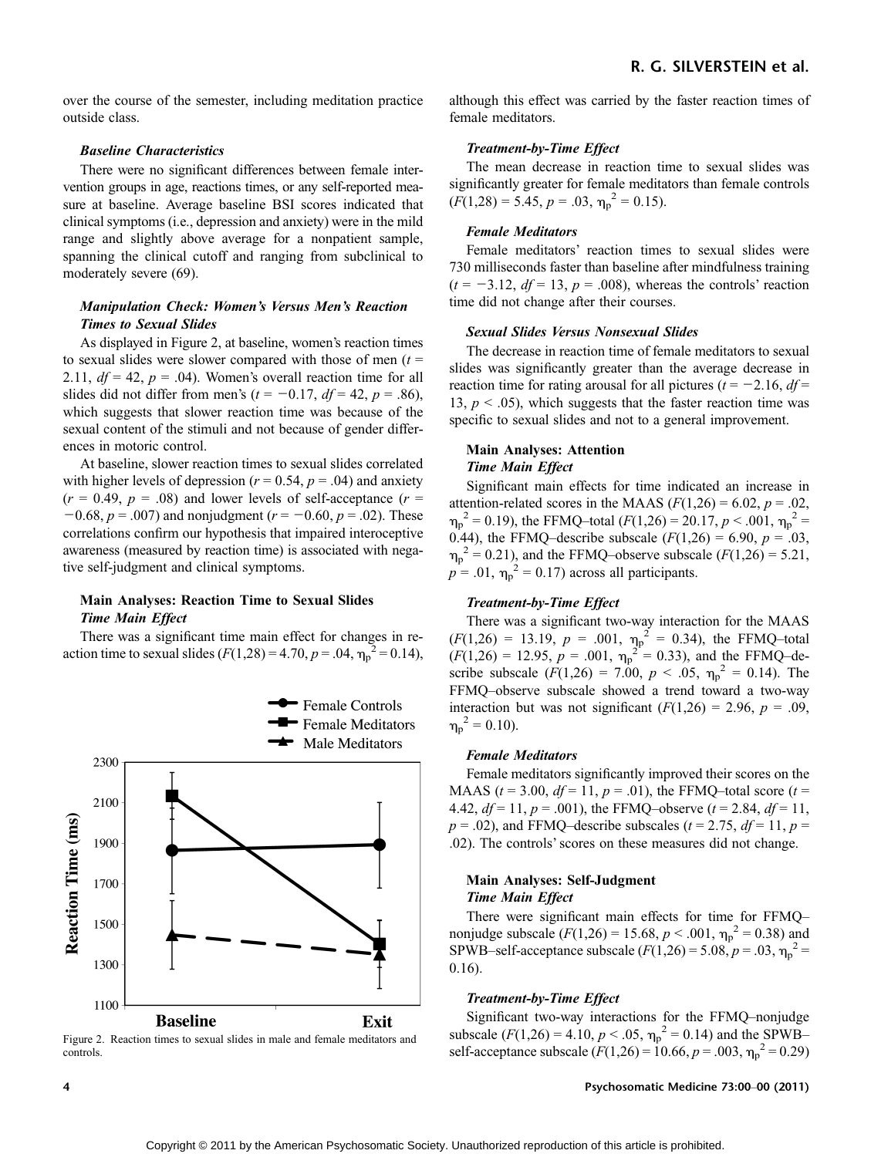over the course of the semester, including meditation practice outside class.

### Baseline Characteristics

There were no significant differences between female intervention groups in age, reactions times, or any self-reported measure at baseline. Average baseline BSI scores indicated that clinical symptoms (i.e., depression and anxiety) were in the mild range and slightly above average for a nonpatient sample, spanning the clinical cutoff and ranging from subclinical to moderately severe (69).

## Manipulation Check: Women's Versus Men's Reaction Times to Sexual Slides

As displayed in Figure 2, at baseline, women's reaction times to sexual slides were slower compared with those of men  $(t =$ 2.11,  $df = 42$ ,  $p = .04$ ). Women's overall reaction time for all slides did not differ from men's ( $t = -0.17$ ,  $df = 42$ ,  $p = .86$ ), which suggests that slower reaction time was because of the sexual content of the stimuli and not because of gender differences in motoric control.

At baseline, slower reaction times to sexual slides correlated with higher levels of depression ( $r = 0.54$ ,  $p = .04$ ) and anxiety  $(r = 0.49, p = .08)$  and lower levels of self-acceptance  $(r = 0.49, p = .08)$  $-0.68$ ,  $p = .007$ ) and nonjudgment ( $r = -0.60$ ,  $p = .02$ ). These correlations confirm our hypothesis that impaired interoceptive awareness (measured by reaction time) is associated with negative self-judgment and clinical symptoms.

## Main Analyses: Reaction Time to Sexual Slides Time Main Effect

There was a significant time main effect for changes in reaction time to sexual slides  $(F(1,28) = 4.70, p = .04, \eta_p^2 = 0.14)$ ,



Figure 2. Reaction times to sexual slides in male and female meditators and controls.

although this effect was carried by the faster reaction times of female meditators.

### Treatment-by-Time Effect

The mean decrease in reaction time to sexual slides was significantly greater for female meditators than female controls  $(F(1,28) = 5.45, p = .03, \eta_p^2 = 0.15).$ 

### Female Meditators

Female meditators' reaction times to sexual slides were 730 milliseconds faster than baseline after mindfulness training  $(t = -3.12, df = 13, p = .008)$ , whereas the controls' reaction time did not change after their courses.

#### Sexual Slides Versus Nonsexual Slides

The decrease in reaction time of female meditators to sexual slides was significantly greater than the average decrease in reaction time for rating arousal for all pictures ( $t = -2.16$ ,  $df =$ 13,  $p < .05$ ), which suggests that the faster reaction time was specific to sexual slides and not to a general improvement.

## Main Analyses: Attention Time Main Effect

Significant main effects for time indicated an increase in attention-related scores in the MAAS ( $F(1,26) = 6.02$ ,  $p = .02$ ,  $\eta_p^2 = 0.19$ ), the FFMQ-total ( $F(1,26) = 20.17$ ,  $p < .001$ ,  $\eta_p^2 =$ 0.44), the FFMQ-describe subscale  $(F(1,26) = 6.90, p = .03,$  $\eta_p^2 = 0.21$ ), and the FFMQ-observe subscale ( $F(1,26) = 5.21$ ,  $p = .01$ ,  $\eta_p^2 = 0.17$ ) across all participants.

## Treatment-by-Time Effect

There was a significant two-way interaction for the MAAS  $(F(1,26) = 13.19, p = .001, \eta_p^2 = 0.34)$ , the FFMQ-total  $(F(1,26) = 12.95, p = .001, \eta_p^2 = 0.33)$ , and the FFMQ-describe subscale  $(F(1,26) = 7.00, p < .05, \eta_p^2 = 0.14)$ . The FFMQ-observe subscale showed a trend toward a two-way interaction but was not significant  $(F(1,26) = 2.96, p = .09,$  $\eta_p^2 = 0.10$ ).

### Female Meditators

Female meditators significantly improved their scores on the MAAS ( $t = 3.00$ ,  $df = 11$ ,  $p = .01$ ), the FFMQ-total score ( $t =$ 4.42,  $df = 11$ ,  $p = .001$ ), the FFMQ-observe ( $t = 2.84$ ,  $df = 11$ ,  $p = .02$ ), and FFMQ-describe subscales ( $t = 2.75$ ,  $df = 11$ ,  $p =$ .02). The controls' scores on these measures did not change.

## Main Analyses: Self-Judgment Time Main Effect

There were significant main effects for time for FFMQnonjudge subscale  $(F(1,26) = 15.68, p < .001, \eta_p^2 = 0.38)$  and SPWB-self-acceptance subscale  $(F(1,26) = 5.08, p = .03, \eta_p^2 =$ 0.16).

## Treatment-by-Time Effect

Significant two-way interactions for the FFMQ-nonjudge subscale ( $F(1,26) = 4.10$ ,  $p < .05$ ,  $\eta_p^2 = 0.14$ ) and the SPWBself-acceptance subscale  $(F(1,26) = 10.66, p = .003, \eta_p^2 = 0.29)$ 

#### 4 **A** Psychosomatic Medicine 73:00–00 (2011)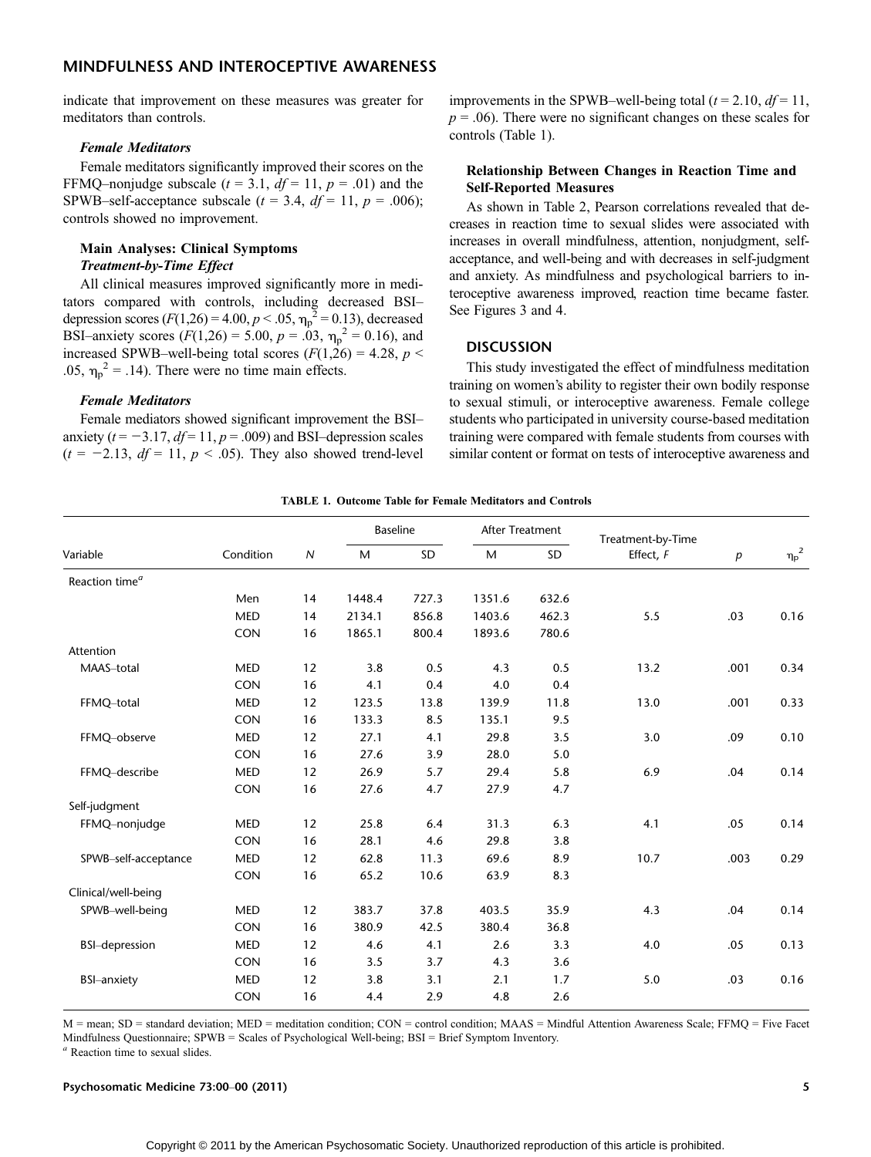indicate that improvement on these measures was greater for meditators than controls.

### Female Meditators

Female meditators significantly improved their scores on the FFMQ-nonjudge subscale ( $t = 3.1$ ,  $df = 11$ ,  $p = .01$ ) and the SPWB-self-acceptance subscale ( $t = 3.4$ ,  $df = 11$ ,  $p = .006$ ); controls showed no improvement.

## Main Analyses: Clinical Symptoms Treatment-by-Time Effect

All clinical measures improved significantly more in meditators compared with controls, including decreased BSIdepression scores ( $F(1,26) = 4.00, p < .05, \eta_p^2 = 0.13$ ), decreased BSI-anxiety scores  $(F(1,26) = 5.00, p = .03, \eta_p^2 = 0.16)$ , and increased SPWB-well-being total scores ( $F(1,26) = 4.28$ ,  $p <$ .05,  $\eta_p^2$  = .14). There were no time main effects.

### Female Meditators

Female mediators showed significant improvement the BSIanxiety ( $t = -3.17$ ,  $df = 11$ ,  $p = .009$ ) and BSI-depression scales  $(t = -2.13, df = 11, p < .05)$ . They also showed trend-level

improvements in the SPWB-well-being total ( $t = 2.10$ ,  $df = 11$ ,  $p = .06$ ). There were no significant changes on these scales for controls (Table 1).

## Relationship Between Changes in Reaction Time and Self-Reported Measures

As shown in Table 2, Pearson correlations revealed that decreases in reaction time to sexual slides were associated with increases in overall mindfulness, attention, nonjudgment, selfacceptance, and well-being and with decreases in self-judgment and anxiety. As mindfulness and psychological barriers to interoceptive awareness improved, reaction time became faster. See Figures 3 and 4.

## **DISCUSSION**

This study investigated the effect of mindfulness meditation training on women's ability to register their own bodily response to sexual stimuli, or interoceptive awareness. Female college students who participated in university course-based meditation training were compared with female students from courses with similar content or format on tests of interoceptive awareness and

|  |  |  |  | <b>TABLE 1. Outcome Table for Female Meditators and Controls</b> |  |  |
|--|--|--|--|------------------------------------------------------------------|--|--|
|--|--|--|--|------------------------------------------------------------------|--|--|

|                                   | Condition  |                  | <b>Baseline</b> |       | After Treatment |       | Treatment-by-Time |      |              |
|-----------------------------------|------------|------------------|-----------------|-------|-----------------|-------|-------------------|------|--------------|
| Variable                          |            | $\boldsymbol{N}$ | M               | SD    | M               | SD    | Effect, F         | p    | ${\eta_p}^2$ |
| Reaction time <sup><i>a</i></sup> |            |                  |                 |       |                 |       |                   |      |              |
|                                   | Men        | 14               | 1448.4          | 727.3 | 1351.6          | 632.6 |                   |      |              |
|                                   | <b>MED</b> | 14               | 2134.1          | 856.8 | 1403.6          | 462.3 | 5.5               | .03  | 0.16         |
|                                   | <b>CON</b> | 16               | 1865.1          | 800.4 | 1893.6          | 780.6 |                   |      |              |
| Attention                         |            |                  |                 |       |                 |       |                   |      |              |
| MAAS-total                        | <b>MED</b> | 12               | 3.8             | 0.5   | 4.3             | 0.5   | 13.2              | .001 | 0.34         |
|                                   | <b>CON</b> | 16               | 4.1             | 0.4   | 4.0             | 0.4   |                   |      |              |
| FFMQ-total                        | <b>MED</b> | 12               | 123.5           | 13.8  | 139.9           | 11.8  | 13.0              | .001 | 0.33         |
|                                   | <b>CON</b> | 16               | 133.3           | 8.5   | 135.1           | 9.5   |                   |      |              |
| FFMQ-observe                      | <b>MED</b> | 12               | 27.1            | 4.1   | 29.8            | 3.5   | 3.0               | .09  | 0.10         |
|                                   | <b>CON</b> | 16               | 27.6            | 3.9   | 28.0            | 5.0   |                   |      |              |
| FFMQ-describe                     | <b>MED</b> | 12               | 26.9            | 5.7   | 29.4            | 5.8   | 6.9               | .04  | 0.14         |
|                                   | <b>CON</b> | 16               | 27.6            | 4.7   | 27.9            | 4.7   |                   |      |              |
| Self-judgment                     |            |                  |                 |       |                 |       |                   |      |              |
| FFMQ-nonjudge                     | <b>MED</b> | 12               | 25.8            | 6.4   | 31.3            | 6.3   | 4.1               | .05  | 0.14         |
|                                   | <b>CON</b> | 16               | 28.1            | 4.6   | 29.8            | 3.8   |                   |      |              |
| SPWB-self-acceptance              | <b>MED</b> | 12               | 62.8            | 11.3  | 69.6            | 8.9   | 10.7              | .003 | 0.29         |
|                                   | <b>CON</b> | 16               | 65.2            | 10.6  | 63.9            | 8.3   |                   |      |              |
| Clinical/well-being               |            |                  |                 |       |                 |       |                   |      |              |
| SPWB-well-being                   | <b>MED</b> | 12               | 383.7           | 37.8  | 403.5           | 35.9  | 4.3               | .04  | 0.14         |
|                                   | <b>CON</b> | 16               | 380.9           | 42.5  | 380.4           | 36.8  |                   |      |              |
| <b>BSI-depression</b>             | <b>MED</b> | 12               | 4.6             | 4.1   | 2.6             | 3.3   | 4.0               | .05  | 0.13         |
|                                   | <b>CON</b> | 16               | 3.5             | 3.7   | 4.3             | 3.6   |                   |      |              |
| <b>BSI-anxiety</b>                | <b>MED</b> | 12               | 3.8             | 3.1   | 2.1             | 1.7   | 5.0               | .03  | 0.16         |
|                                   | CON        | 16               | 4.4             | 2.9   | 4.8             | 2.6   |                   |      |              |
|                                   |            |                  |                 |       |                 |       |                   |      |              |

M = mean; SD = standard deviation; MED = meditation condition; CON = control condition; MAAS = Mindful Attention Awareness Scale; FFMQ = Five Facet Mindfulness Questionnaire; SPWB = Scales of Psychological Well-being; BSI = Brief Symptom Inventory.

<sup>a</sup> Reaction time to sexual slides.

Psychosomatic Medicine 73:00Y00 (2011) 5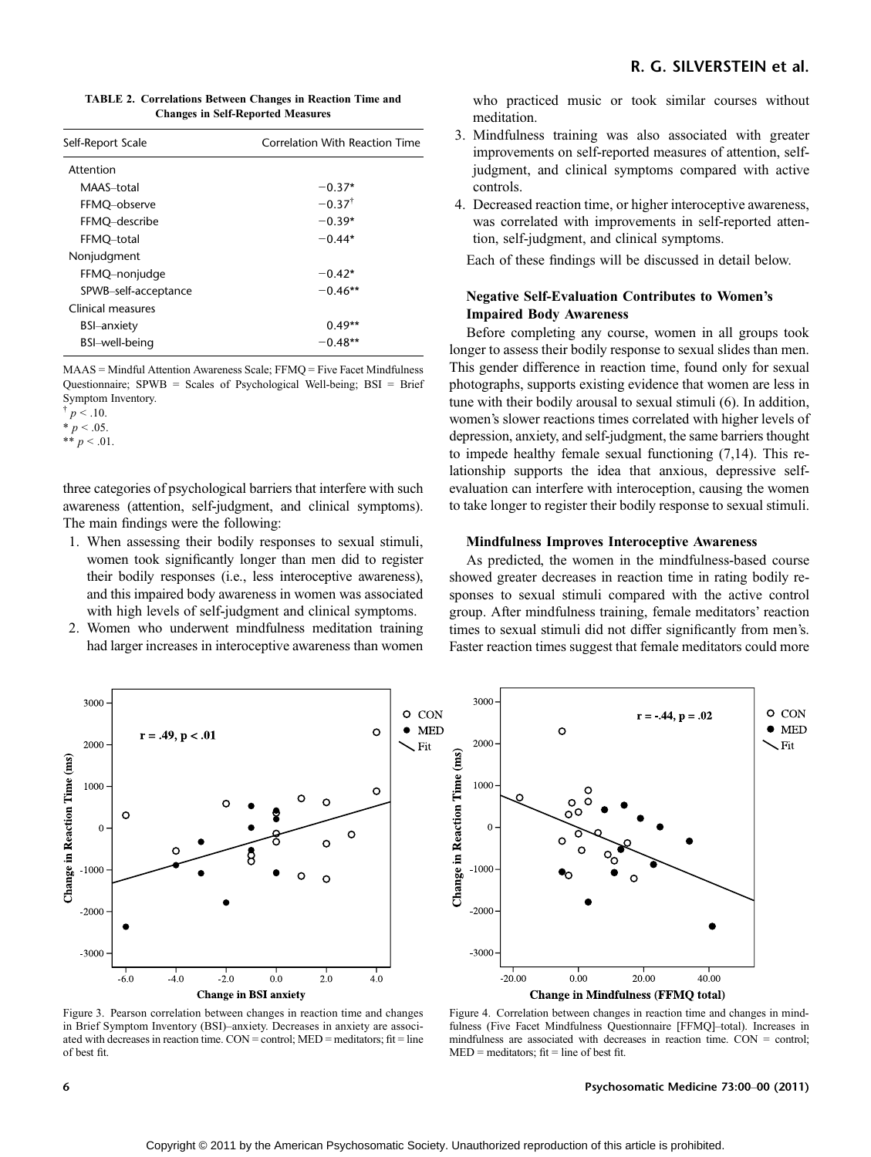| <b>TABLE 2. Correlations Between Changes in Reaction Time and</b> |
|-------------------------------------------------------------------|
| <b>Changes in Self-Reported Measures</b>                          |

| Self-Report Scale    | Correlation With Reaction Time |  |  |  |
|----------------------|--------------------------------|--|--|--|
| Attention            |                                |  |  |  |
| MAAS-total           | $-0.37*$                       |  |  |  |
| FFMQ-observe         | $-0.37^{\dagger}$              |  |  |  |
| FFMQ-describe        | $-0.39*$                       |  |  |  |
| FFMQ-total           | $-0.44*$                       |  |  |  |
| Nonjudgment          |                                |  |  |  |
| FFMQ-nonjudge        | $-0.42*$                       |  |  |  |
| SPWB-self-acceptance | $-0.46**$                      |  |  |  |
| Clinical measures    |                                |  |  |  |
| <b>BSI-anxiety</b>   | $0.49**$                       |  |  |  |
| BSI-well-being       | $-0.48**$                      |  |  |  |
|                      |                                |  |  |  |

MAAS = Mindful Attention Awareness Scale; FFMQ = Five Facet Mindfulness Questionnaire; SPWB = Scales of Psychological Well-being; BSI = Brief Symptom Inventory.

\*\*  $p < .01$ .

three categories of psychological barriers that interfere with such awareness (attention, self-judgment, and clinical symptoms). The main findings were the following:

- 1. When assessing their bodily responses to sexual stimuli, women took significantly longer than men did to register their bodily responses (i.e., less interoceptive awareness), and this impaired body awareness in women was associated with high levels of self-judgment and clinical symptoms.
- 2. Women who underwent mindfulness meditation training had larger increases in interoceptive awareness than women

who practiced music or took similar courses without meditation.

- 3. Mindfulness training was also associated with greater improvements on self-reported measures of attention, selfjudgment, and clinical symptoms compared with active controls.
- 4. Decreased reaction time, or higher interoceptive awareness, was correlated with improvements in self-reported attention, self-judgment, and clinical symptoms.

Each of these findings will be discussed in detail below.

## Negative Self-Evaluation Contributes to Women's Impaired Body Awareness

Before completing any course, women in all groups took longer to assess their bodily response to sexual slides than men. This gender difference in reaction time, found only for sexual photographs, supports existing evidence that women are less in tune with their bodily arousal to sexual stimuli (6). In addition, women's slower reactions times correlated with higher levels of depression, anxiety, and self-judgment, the same barriers thought to impede healthy female sexual functioning (7,14). This relationship supports the idea that anxious, depressive selfevaluation can interfere with interoception, causing the women to take longer to register their bodily response to sexual stimuli.

## Mindfulness Improves Interoceptive Awareness

As predicted, the women in the mindfulness-based course showed greater decreases in reaction time in rating bodily responses to sexual stimuli compared with the active control group. After mindfulness training, female meditators' reaction times to sexual stimuli did not differ significantly from men's. Faster reaction times suggest that female meditators could more



Figure 3. Pearson correlation between changes in reaction time and changes in Brief Symptom Inventory (BSI)-anxiety. Decreases in anxiety are associated with decreases in reaction time. CON = control; MED = meditators; fit = line of best fit.

Figure 4. Correlation between changes in reaction time and changes in mind-

6 **6** Psychosomatic Medicine 73:00–00 (2011)

 $p < 0.10$ .

 $* p < .05.$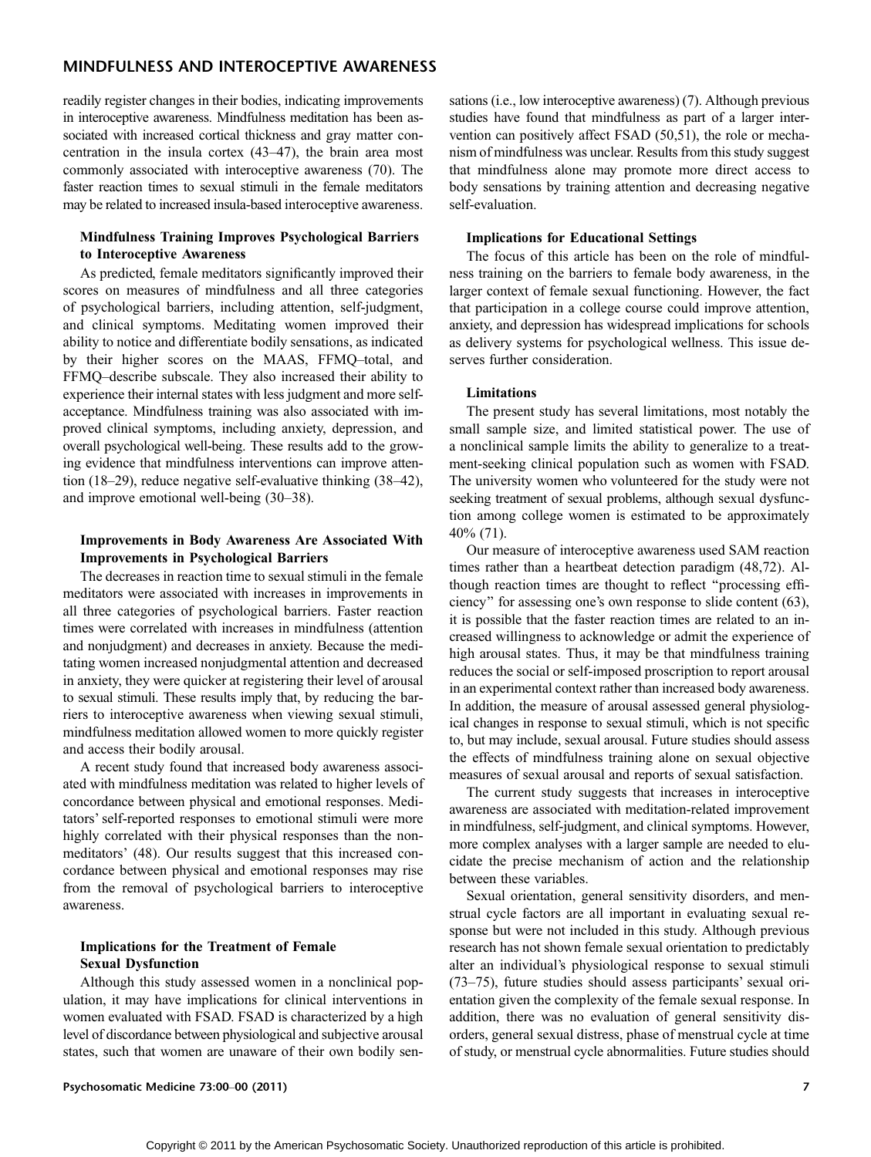readily register changes in their bodies, indicating improvements in interoceptive awareness. Mindfulness meditation has been associated with increased cortical thickness and gray matter concentration in the insula cortex  $(43-47)$ , the brain area most commonly associated with interoceptive awareness (70). The faster reaction times to sexual stimuli in the female meditators may be related to increased insula-based interoceptive awareness.

## Mindfulness Training Improves Psychological Barriers to Interoceptive Awareness

As predicted, female meditators significantly improved their scores on measures of mindfulness and all three categories of psychological barriers, including attention, self-judgment, and clinical symptoms. Meditating women improved their ability to notice and differentiate bodily sensations, as indicated by their higher scores on the MAAS, FFMQ-total, and FFMQ-describe subscale. They also increased their ability to experience their internal states with less judgment and more selfacceptance. Mindfulness training was also associated with improved clinical symptoms, including anxiety, depression, and overall psychological well-being. These results add to the growing evidence that mindfulness interventions can improve attention (18–29), reduce negative self-evaluative thinking  $(38–42)$ , and improve emotional well-being  $(30-38)$ .

## Improvements in Body Awareness Are Associated With Improvements in Psychological Barriers

The decreases in reaction time to sexual stimuli in the female meditators were associated with increases in improvements in all three categories of psychological barriers. Faster reaction times were correlated with increases in mindfulness (attention and nonjudgment) and decreases in anxiety. Because the meditating women increased nonjudgmental attention and decreased in anxiety, they were quicker at registering their level of arousal to sexual stimuli. These results imply that, by reducing the barriers to interoceptive awareness when viewing sexual stimuli, mindfulness meditation allowed women to more quickly register and access their bodily arousal.

A recent study found that increased body awareness associated with mindfulness meditation was related to higher levels of concordance between physical and emotional responses. Meditators' self-reported responses to emotional stimuli were more highly correlated with their physical responses than the nonmeditators' (48). Our results suggest that this increased concordance between physical and emotional responses may rise from the removal of psychological barriers to interoceptive awareness.

## Implications for the Treatment of Female Sexual Dysfunction

Although this study assessed women in a nonclinical population, it may have implications for clinical interventions in women evaluated with FSAD. FSAD is characterized by a high level of discordance between physiological and subjective arousal states, such that women are unaware of their own bodily sen-

sations (i.e., low interoceptive awareness) (7). Although previous studies have found that mindfulness as part of a larger intervention can positively affect FSAD (50,51), the role or mechanism of mindfulness was unclear. Results from this study suggest that mindfulness alone may promote more direct access to body sensations by training attention and decreasing negative self-evaluation.

## Implications for Educational Settings

The focus of this article has been on the role of mindfulness training on the barriers to female body awareness, in the larger context of female sexual functioning. However, the fact that participation in a college course could improve attention, anxiety, and depression has widespread implications for schools as delivery systems for psychological wellness. This issue deserves further consideration.

#### Limitations

The present study has several limitations, most notably the small sample size, and limited statistical power. The use of a nonclinical sample limits the ability to generalize to a treatment-seeking clinical population such as women with FSAD. The university women who volunteered for the study were not seeking treatment of sexual problems, although sexual dysfunction among college women is estimated to be approximately 40% (71).

Our measure of interoceptive awareness used SAM reaction times rather than a heartbeat detection paradigm (48,72). Although reaction times are thought to reflect ''processing efficiency'' for assessing one's own response to slide content (63), it is possible that the faster reaction times are related to an increased willingness to acknowledge or admit the experience of high arousal states. Thus, it may be that mindfulness training reduces the social or self-imposed proscription to report arousal in an experimental context rather than increased body awareness. In addition, the measure of arousal assessed general physiological changes in response to sexual stimuli, which is not specific to, but may include, sexual arousal. Future studies should assess the effects of mindfulness training alone on sexual objective measures of sexual arousal and reports of sexual satisfaction.

The current study suggests that increases in interoceptive awareness are associated with meditation-related improvement in mindfulness, self-judgment, and clinical symptoms. However, more complex analyses with a larger sample are needed to elucidate the precise mechanism of action and the relationship between these variables.

Sexual orientation, general sensitivity disorders, and menstrual cycle factors are all important in evaluating sexual response but were not included in this study. Although previous research has not shown female sexual orientation to predictably alter an individual's physiological response to sexual stimuli  $(73–75)$ , future studies should assess participants' sexual orientation given the complexity of the female sexual response. In addition, there was no evaluation of general sensitivity disorders, general sexual distress, phase of menstrual cycle at time of study, or menstrual cycle abnormalities. Future studies should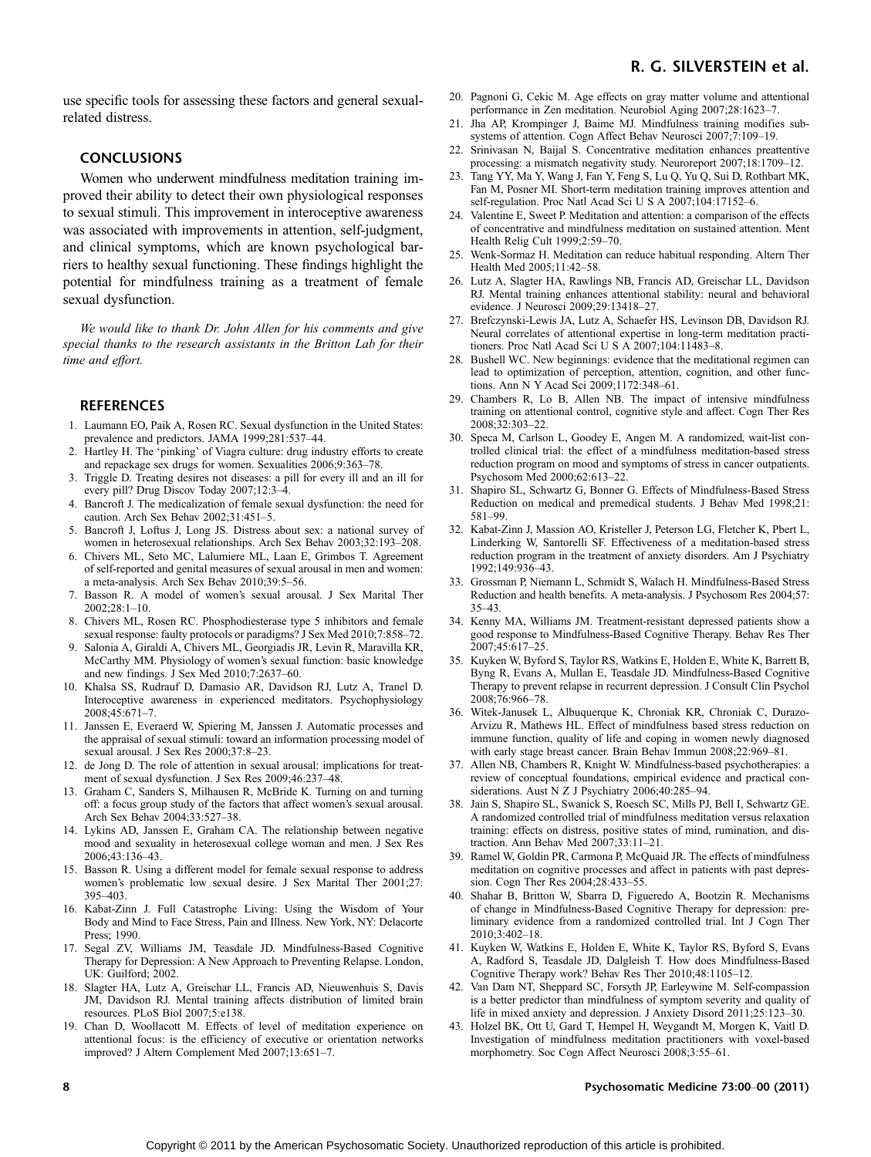## R. G. SILVERSTEIN et al.

use specific tools for assessing these factors and general sexualrelated distress.

## CONCLUSIONS

Women who underwent mindfulness meditation training improved their ability to detect their own physiological responses to sexual stimuli. This improvement in interoceptive awareness was associated with improvements in attention, self-judgment, and clinical symptoms, which are known psychological barriers to healthy sexual functioning. These findings highlight the potential for mindfulness training as a treatment of female sexual dysfunction.

We would like to thank Dr. John Allen for his comments and give special thanks to the research assistants in the Britton Lab for their time and effort.

#### **REFERENCES**

- 1. Laumann EO, Paik A, Rosen RC. Sexual dysfunction in the United States: prevalence and predictors. JAMA 1999;281:537-44.
- 2. Hartley H. The 'pinking' of Viagra culture: drug industry efforts to create and repackage sex drugs for women. Sexualities 2006;9:363-78.
- 3. Triggle D. Treating desires not diseases: a pill for every ill and an ill for every pill? Drug Discov Today 2007;12:3-4.
- 4. Bancroft J. The medicalization of female sexual dysfunction: the need for caution. Arch Sex Behav 2002;31:451-5.
- 5. Bancroft J, Loftus J, Long JS. Distress about sex: a national survey of women in heterosexual relationships. Arch Sex Behav 2003;32:193-208.
- 6. Chivers ML, Seto MC, Lalumiere ML, Laan E, Grimbos T. Agreement of self-reported and genital measures of sexual arousal in men and women: a meta-analysis. Arch Sex Behav 2010;39:5-56.
- 7. Basson R. A model of women's sexual arousal. J Sex Marital Ther 2002;28:1-10.
- 8. Chivers ML, Rosen RC. Phosphodiesterase type 5 inhibitors and female sexual response: faulty protocols or paradigms? J Sex Med 2010;7:858-72.
- 9. Salonia A, Giraldi A, Chivers ML, Georgiadis JR, Levin R, Maravilla KR, McCarthy MM. Physiology of women's sexual function: basic knowledge and new findings. J Sex Med  $2010;7:2637-60$ .
- 10. Khalsa SS, Rudrauf D, Damasio AR, Davidson RJ, Lutz A, Tranel D. Interoceptive awareness in experienced meditators. Psychophysiology 2008;45:671-7.
- 11. Janssen E, Everaerd W, Spiering M, Janssen J. Automatic processes and the appraisal of sexual stimuli: toward an information processing model of sexual arousal. J Sex Res 2000;37:8-23.
- 12. de Jong D. The role of attention in sexual arousal: implications for treatment of sexual dysfunction. J Sex Res 2009;46:237-48.
- 13. Graham C, Sanders S, Milhausen R, McBride K. Turning on and turning off: a focus group study of the factors that affect women's sexual arousal. Arch Sex Behav 2004;33:527-38.
- 14. Lykins AD, Janssen E, Graham CA. The relationship between negative mood and sexuality in heterosexual college woman and men. J Sex Res 2006;43:136-43.
- 15. Basson R. Using a different model for female sexual response to address women's problematic low sexual desire. J Sex Marital Ther 2001;27:  $395 - 403$ .
- 16. Kabat-Zinn J. Full Catastrophe Living: Using the Wisdom of Your Body and Mind to Face Stress, Pain and Illness. New York, NY: Delacorte Press; 1990.
- 17. Segal ZV, Williams JM, Teasdale JD. Mindfulness-Based Cognitive Therapy for Depression: A New Approach to Preventing Relapse. London, UK: Guilford; 2002.
- 18. Slagter HA, Lutz A, Greischar LL, Francis AD, Nieuwenhuis S, Davis JM, Davidson RJ. Mental training affects distribution of limited brain resources. PLoS Biol 2007;5:e138.
- 19. Chan D, Woollacott M. Effects of level of meditation experience on attentional focus: is the efficiency of executive or orientation networks improved? J Altern Complement Med 2007;13:651-7.
- 20. Pagnoni G, Cekic M. Age effects on gray matter volume and attentional performance in Zen meditation. Neurobiol Aging 2007;28:1623-7.
- 21. Jha AP, Krompinger J, Baime MJ. Mindfulness training modifies subsystems of attention. Cogn Affect Behav Neurosci 2007;7:109-19.
- 22. Srinivasan N, Baijal S. Concentrative meditation enhances preattentive processing: a mismatch negativity study. Neuroreport 2007;18:1709-12.
- 23. Tang YY, Ma Y, Wang J, Fan Y, Feng S, Lu Q, Yu Q, Sui D, Rothbart MK, Fan M, Posner MI. Short-term meditation training improves attention and self-regulation. Proc Natl Acad Sci U S A 2007;104:17152-6.
- 24. Valentine E, Sweet P. Meditation and attention: a comparison of the effects of concentrative and mindfulness meditation on sustained attention. Ment Health Relig Cult 1999;2:59-70.
- 25. Wenk-Sormaz H. Meditation can reduce habitual responding. Altern Ther Health Med 2005:11:42-58.
- 26. Lutz A, Slagter HA, Rawlings NB, Francis AD, Greischar LL, Davidson RJ. Mental training enhances attentional stability: neural and behavioral evidence. J Neurosci 2009;29:13418-27.
- 27. Brefczynski-Lewis JA, Lutz A, Schaefer HS, Levinson DB, Davidson RJ. Neural correlates of attentional expertise in long-term meditation practitioners. Proc Natl Acad Sci U S A 2007;104:11483-8.
- 28. Bushell WC. New beginnings: evidence that the meditational regimen can lead to optimization of perception, attention, cognition, and other functions. Ann N Y Acad Sci 2009;1172:348-61.
- 29. Chambers R, Lo B, Allen NB. The impact of intensive mindfulness training on attentional control, cognitive style and affect. Cogn Ther Res 2008;32:303-22.
- 30. Speca M, Carlson L, Goodey E, Angen M. A randomized, wait-list controlled clinical trial: the effect of a mindfulness meditation-based stress reduction program on mood and symptoms of stress in cancer outpatients. Psychosom Med 2000;62:613-22.
- 31. Shapiro SL, Schwartz G, Bonner G. Effects of Mindfulness-Based Stress Reduction on medical and premedical students. J Behav Med 1998;21: 581-99
- 32. Kabat-Zinn J, Massion AO, Kristeller J, Peterson LG, Fletcher K, Pbert L, Linderking W, Santorelli SF. Effectiveness of a meditation-based stress reduction program in the treatment of anxiety disorders. Am J Psychiatry 1992:149:936-43.
- 33. Grossman P, Niemann L, Schmidt S, Walach H. Mindfulness-Based Stress Reduction and health benefits. A meta-analysis. J Psychosom Res 2004;57:  $35 - 43$ .
- 34. Kenny MA, Williams JM. Treatment-resistant depressed patients show a good response to Mindfulness-Based Cognitive Therapy. Behav Res Ther 2007;45:617-25.
- 35. Kuyken W, Byford S, Taylor RS, Watkins E, Holden E, White K, Barrett B, Byng R, Evans A, Mullan E, Teasdale JD. Mindfulness-Based Cognitive Therapy to prevent relapse in recurrent depression. J Consult Clin Psychol 2008:76:966-78.
- 36. Witek-Janusek L, Albuquerque K, Chroniak KR, Chroniak C, Durazo-Arvizu R, Mathews HL. Effect of mindfulness based stress reduction on immune function, quality of life and coping in women newly diagnosed with early stage breast cancer. Brain Behav Immun 2008;22:969-81.
- 37. Allen NB, Chambers R, Knight W. Mindfulness-based psychotherapies: a review of conceptual foundations, empirical evidence and practical considerations. Aust N Z J Psychiatry  $2006;40:285-94$ .
- 38. Jain S, Shapiro SL, Swanick S, Roesch SC, Mills PJ, Bell I, Schwartz GE. A randomized controlled trial of mindfulness meditation versus relaxation training: effects on distress, positive states of mind, rumination, and distraction. Ann Behav Med 2007;33:11-21.
- 39. Ramel W, Goldin PR, Carmona P, McQuaid JR. The effects of mindfulness meditation on cognitive processes and affect in patients with past depression. Cogn Ther Res 2004;28:433-55.
- 40. Shahar B, Britton W, Sbarra D, Figueredo A, Bootzin R. Mechanisms of change in Mindfulness-Based Cognitive Therapy for depression: preliminary evidence from a randomized controlled trial. Int J Cogn Ther 2010:3:402-18.
- 41. Kuyken W, Watkins E, Holden E, White K, Taylor RS, Byford S, Evans A, Radford S, Teasdale JD, Dalgleish T. How does Mindfulness-Based Cognitive Therapy work? Behav Res Ther 2010;48:1105-12.
- 42. Van Dam NT, Sheppard SC, Forsyth JP, Earleywine M. Self-compassion is a better predictor than mindfulness of symptom severity and quality of life in mixed anxiety and depression. J Anxiety Disord  $2011;25:123-30$ .
- 43. Holzel BK, Ott U, Gard T, Hempel H, Weygandt M, Morgen K, Vaitl D. Investigation of mindfulness meditation practitioners with voxel-based morphometry. Soc Cogn Affect Neurosci 2008;3:55-61.

#### 8 **8** Psychosomatic Medicine 73:00–00 (2011)